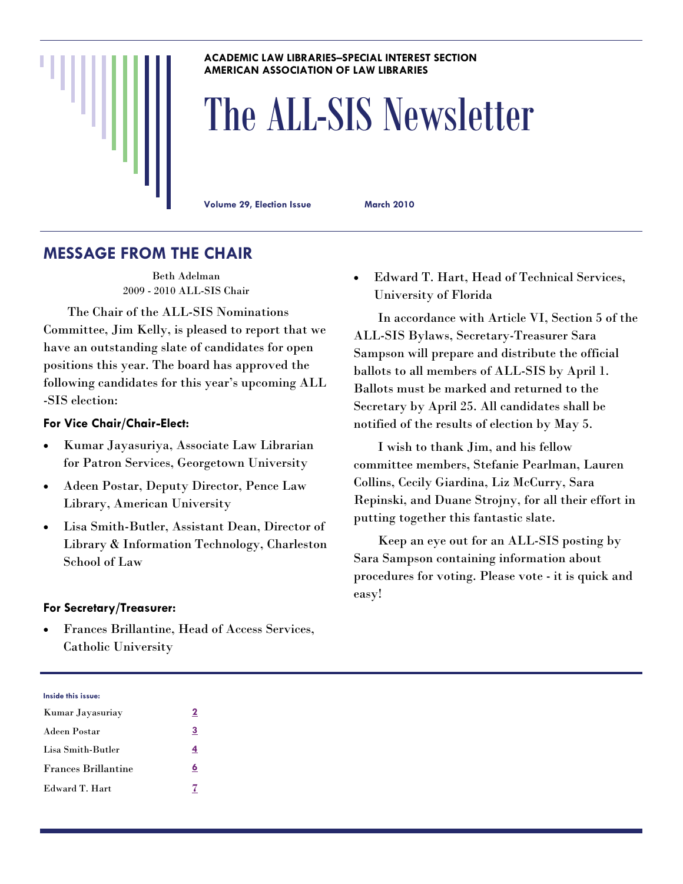#### **ACADEMIC LAW LIBRARIES–SPECIAL INTEREST SECTION AMERICAN ASSOCIATION OF LAW LIBRARIES**

# The ALL-SIS Newsletter

**Volume 29, Election Issue March 2010** 

## **MESSAGE FROM THE CHAIR**

Beth Adelman 2009 - 2010 ALL-SIS Chair

 The Chair of the ALL-SIS Nominations Committee, Jim Kelly, is pleased to report that we have an outstanding slate of candidates for open positions this year. The board has approved the following candidates for this year's upcoming ALL -SIS election:

#### **For Vice Chair/Chair-Elect:**

- Kumar Jayasuriya, Associate Law Librarian for Patron Services, Georgetown University
- Adeen Postar, Deputy Director, Pence Law Library, American University
- Lisa Smith-Butler, Assistant Dean, Director of Library & Information Technology, Charleston School of Law

#### **For Secretary/Treasurer:**

 Frances Brillantine, Head of Access Services, Catholic University

 Edward T. Hart, Head of Technical Services, University of Florida

 In accordance with Article VI, Section 5 of the ALL-SIS Bylaws, Secretary-Treasurer Sara Sampson will prepare and distribute the official ballots to all members of ALL-SIS by April 1. Ballots must be marked and returned to the Secretary by April 25. All candidates shall be notified of the results of election by May 5.

 I wish to thank Jim, and his fellow committee members, Stefanie Pearlman, Lauren Collins, Cecily Giardina, Liz McCurry, Sara Repinski, and Duane Strojny, for all their effort in putting together this fantastic slate.

 Keep an eye out for an ALL-SIS posting by Sara Sampson containing information about procedures for voting. Please vote - it is quick and easy!

| Inside this issue: |  |  |
|--------------------|--|--|
|                    |  |  |

| Kumar Jayasuriay           | 2 |
|----------------------------|---|
| Adeen Postar               | 3 |
| Lisa Smith-Butler          | 4 |
| <b>Frances Brillantine</b> | 6 |
| Edward T. Hart             |   |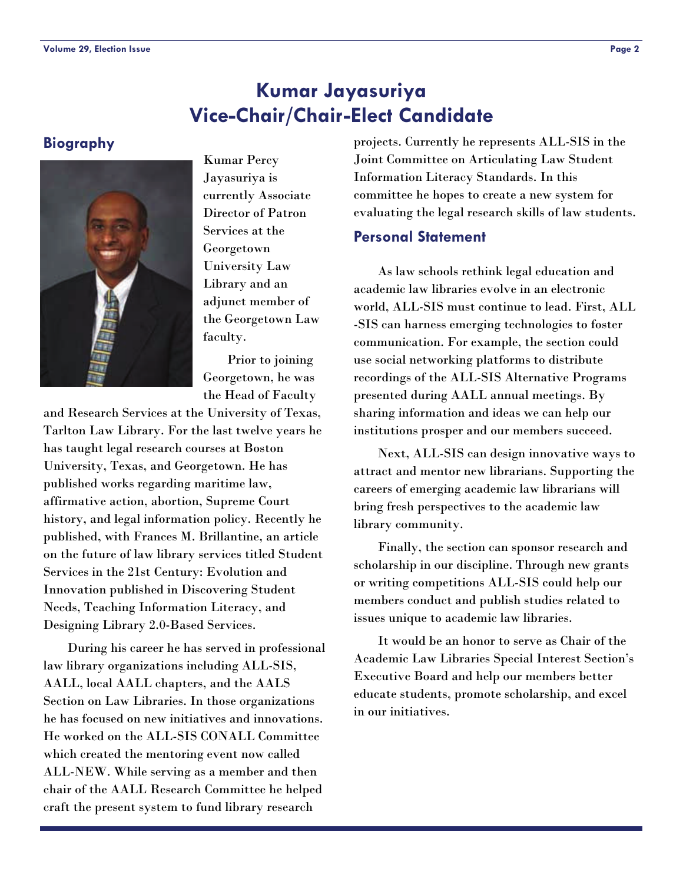## **Kumar Jayasuriya Vice-Chair/Chair-Elect Candidate**

#### <span id="page-1-0"></span>**Biography**



Kumar Percy Jayasuriya is currently Associate Director of Patron Services at the Georgetown University Law Library and an adjunct member of the Georgetown Law faculty.

 Prior to joining Georgetown, he was the Head of Faculty

and Research Services at the University of Texas, Tarlton Law Library. For the last twelve years he has taught legal research courses at Boston University, Texas, and Georgetown. He has published works regarding maritime law, affirmative action, abortion, Supreme Court history, and legal information policy. Recently he published, with Frances M. Brillantine, an article on the future of law library services titled Student Services in the 21st Century: Evolution and Innovation published in Discovering Student Needs, Teaching Information Literacy, and Designing Library 2.0-Based Services.

 During his career he has served in professional law library organizations including ALL-SIS, AALL, local AALL chapters, and the AALS Section on Law Libraries. In those organizations he has focused on new initiatives and innovations. He worked on the ALL-SIS CONALL Committee which created the mentoring event now called ALL-NEW. While serving as a member and then chair of the AALL Research Committee he helped craft the present system to fund library research

projects. Currently he represents ALL-SIS in the Joint Committee on Articulating Law Student Information Literacy Standards. In this committee he hopes to create a new system for evaluating the legal research skills of law students.

#### **Personal Statement**

 As law schools rethink legal education and academic law libraries evolve in an electronic world, ALL-SIS must continue to lead. First, ALL -SIS can harness emerging technologies to foster communication. For example, the section could use social networking platforms to distribute recordings of the ALL-SIS Alternative Programs presented during AALL annual meetings. By sharing information and ideas we can help our institutions prosper and our members succeed.

 Next, ALL-SIS can design innovative ways to attract and mentor new librarians. Supporting the careers of emerging academic law librarians will bring fresh perspectives to the academic law library community.

 Finally, the section can sponsor research and scholarship in our discipline. Through new grants or writing competitions ALL-SIS could help our members conduct and publish studies related to issues unique to academic law libraries.

 It would be an honor to serve as Chair of the Academic Law Libraries Special Interest Section's Executive Board and help our members better educate students, promote scholarship, and excel in our initiatives.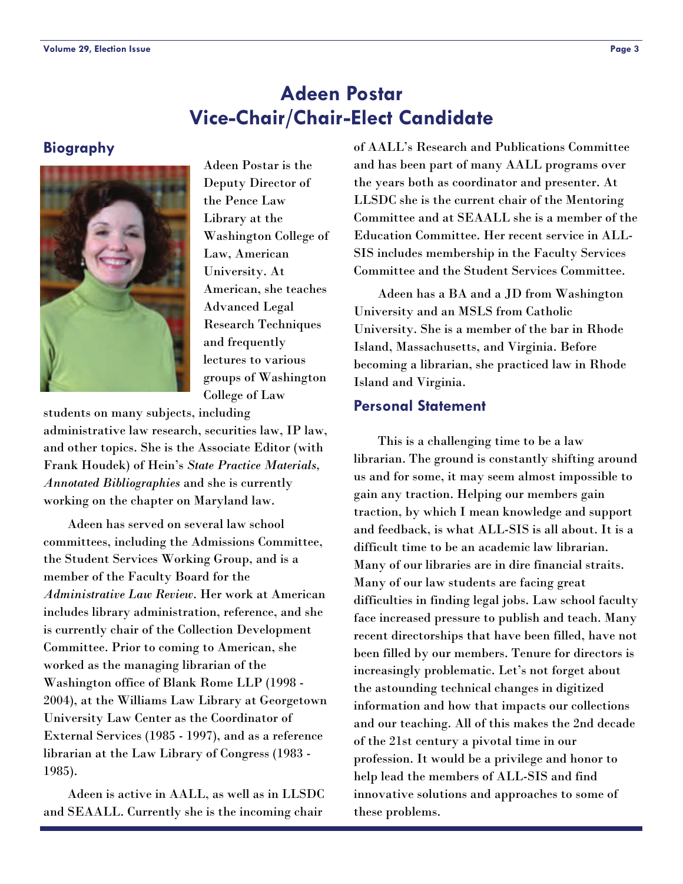## **Adeen Postar Vice-Chair/Chair-Elect Candidate**

#### <span id="page-2-0"></span>**Biography**



Adeen Postar is the Deputy Director of the Pence Law Library at the Washington College of Law, American University. At American, she teaches Advanced Legal Research Techniques and frequently lectures to various groups of Washington College of Law

students on many subjects, including administrative law research, securities law, IP law, and other topics. She is the Associate Editor (with Frank Houdek) of Hein's *State Practice Materials, Annotated Bibliographies* and she is currently working on the chapter on Maryland law.

 Adeen has served on several law school committees, including the Admissions Committee, the Student Services Working Group, and is a member of the Faculty Board for the *Administrative Law Review*. Her work at American includes library administration, reference, and she is currently chair of the Collection Development Committee. Prior to coming to American, she worked as the managing librarian of the Washington office of Blank Rome LLP (1998 - 2004), at the Williams Law Library at Georgetown University Law Center as the Coordinator of External Services (1985 - 1997), and as a reference librarian at the Law Library of Congress (1983 - 1985).

 Adeen is active in AALL, as well as in LLSDC and SEAALL. Currently she is the incoming chair

of AALL's Research and Publications Committee and has been part of many AALL programs over the years both as coordinator and presenter. At LLSDC she is the current chair of the Mentoring Committee and at SEAALL she is a member of the Education Committee. Her recent service in ALL-SIS includes membership in the Faculty Services Committee and the Student Services Committee.

 Adeen has a BA and a JD from Washington University and an MSLS from Catholic University. She is a member of the bar in Rhode Island, Massachusetts, and Virginia. Before becoming a librarian, she practiced law in Rhode Island and Virginia.

#### **Personal Statement**

 This is a challenging time to be a law librarian. The ground is constantly shifting around us and for some, it may seem almost impossible to gain any traction. Helping our members gain traction, by which I mean knowledge and support and feedback, is what ALL-SIS is all about. It is a difficult time to be an academic law librarian. Many of our libraries are in dire financial straits. Many of our law students are facing great difficulties in finding legal jobs. Law school faculty face increased pressure to publish and teach. Many recent directorships that have been filled, have not been filled by our members. Tenure for directors is increasingly problematic. Let's not forget about the astounding technical changes in digitized information and how that impacts our collections and our teaching. All of this makes the 2nd decade of the 21st century a pivotal time in our profession. It would be a privilege and honor to help lead the members of ALL-SIS and find innovative solutions and approaches to some of these problems.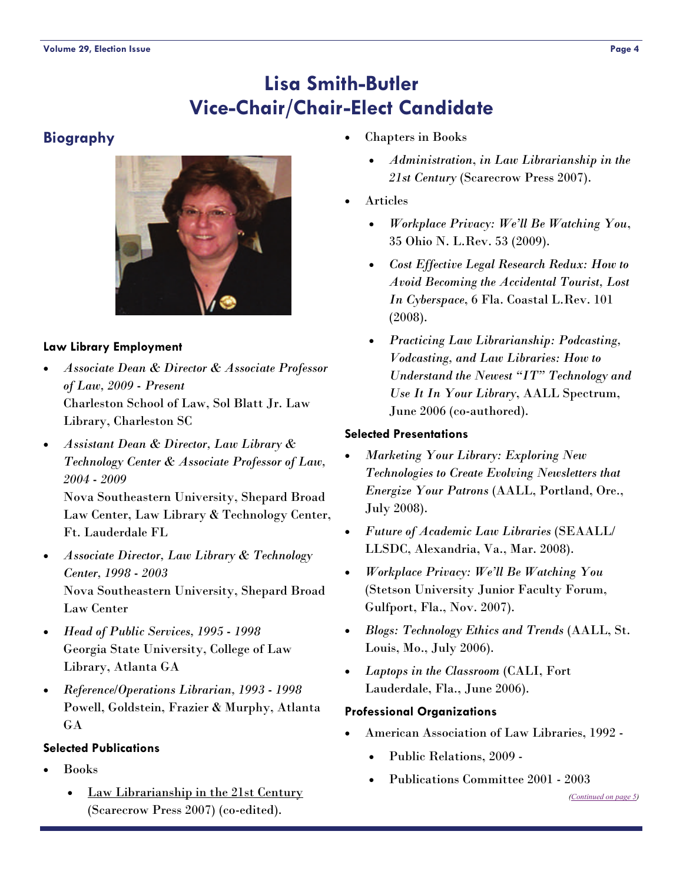## **Lisa Smith-Butler Vice-Chair/Chair-Elect Candidate**

#### <span id="page-3-0"></span>**Biography**



#### **Law Library Employment**

- *Associate Dean & Director & Associate Professor of Law, 2009 - Present* Charleston School of Law, Sol Blatt Jr. Law Library, Charleston SC
- *Assistant Dean & Director, Law Library & Technology Center & Associate Professor of Law, 2004 - 2009*

Nova Southeastern University, Shepard Broad Law Center, Law Library & Technology Center, Ft. Lauderdale FL

- *Associate Director, Law Library & Technology Center, 1998 - 2003* Nova Southeastern University, Shepard Broad Law Center
- *Head of Public Services, 1995 1998* Georgia State University, College of Law Library, Atlanta GA
- *Reference/Operations Librarian, 1993 1998* Powell, Goldstein, Frazier & Murphy, Atlanta GA

#### **Selected Publications**

- Books
	- Law Librarianship in the 21st Century (Scarecrow Press 2007) (co-edited).
- Chapters in Books
	- *Administration*, *in Law Librarianship in the 21st Century* (Scarecrow Press 2007).
- Articles
	- *Workplace Privacy: We'll Be Watching You*, 35 Ohio N. L.Rev. 53 (2009).
	- *Cost Effective Legal Research Redux: How to Avoid Becoming the Accidental Tourist, Lost In Cyberspace*, 6 Fla. Coastal L.Rev. 101 (2008).
	- *Practicing Law Librarianship: Podcasting, Vodcasting, and Law Libraries: How to Understand the Newest "IT" Technology and Use It In Your Library*, AALL Spectrum, June 2006 (co-authored).

#### **Selected Presentations**

- *Marketing Your Library: Exploring New Technologies to Create Evolving Newsletters that Energize Your Patrons* (AALL, Portland, Ore., July 2008).
- *Future of Academic Law Libraries* (SEAALL/ LLSDC, Alexandria, Va., Mar. 2008).
- *Workplace Privacy: We'll Be Watching You* (Stetson University Junior Faculty Forum, Gulfport, Fla., Nov. 2007).
- *Blogs: Technology Ethics and Trends* (AALL, St. Louis, Mo., July 2006).
- *Laptops in the Classroom* (CALI, Fort Lauderdale, Fla., June 2006).

#### **Professional Organizations**

- American Association of Law Libraries, 1992
	- Public Relations, 2009 -
	- Publications Committee 2001 2003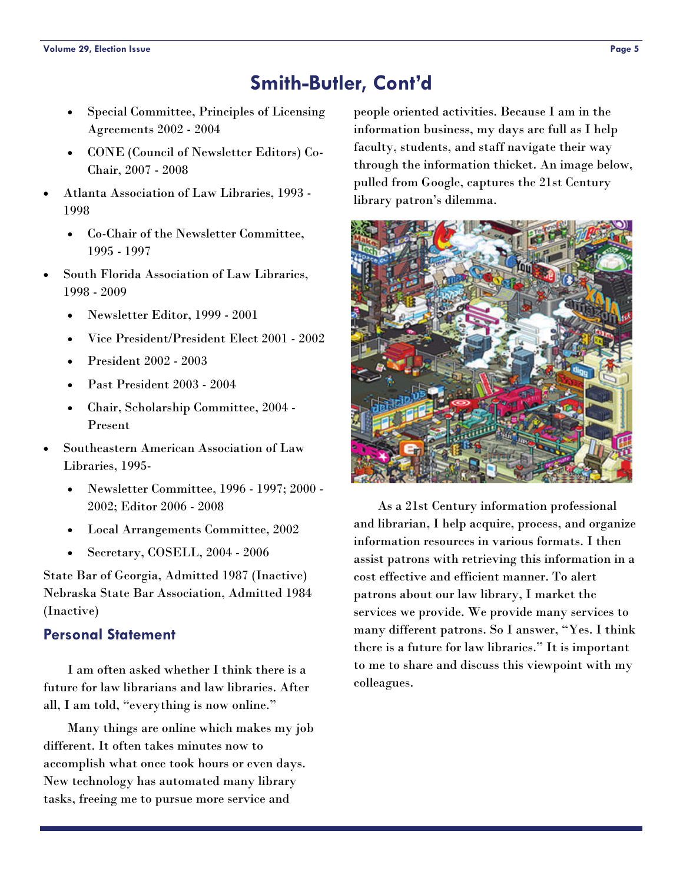## **Smith-Butler, Cont'd**

- <span id="page-4-0"></span> Special Committee, Principles of Licensing Agreements 2002 - 2004
- CONE (Council of Newsletter Editors) Co-Chair, 2007 - 2008
- Atlanta Association of Law Libraries, 1993 1998
	- Co-Chair of the Newsletter Committee, 1995 - 1997
- South Florida Association of Law Libraries, 1998 - 2009
	- Newsletter Editor, 1999 2001
	- Vice President/President Elect 2001 2002
	- President 2002 2003
	- Past President 2003 2004
	- Chair, Scholarship Committee, 2004 Present
- Southeastern American Association of Law Libraries, 1995-
	- Newsletter Committee, 1996 1997; 2000 2002; Editor 2006 - 2008
	- Local Arrangements Committee, 2002
	- Secretary, COSELL, 2004 2006

State Bar of Georgia, Admitted 1987 (Inactive) Nebraska State Bar Association, Admitted 1984 (Inactive)

#### **Personal Statement**

 I am often asked whether I think there is a future for law librarians and law libraries. After all, I am told, "everything is now online."

 Many things are online which makes my job different. It often takes minutes now to accomplish what once took hours or even days. New technology has automated many library tasks, freeing me to pursue more service and

people oriented activities. Because I am in the information business, my days are full as I help faculty, students, and staff navigate their way through the information thicket. An image below, pulled from Google, captures the 21st Century library patron's dilemma.



 As a 21st Century information professional and librarian, I help acquire, process, and organize information resources in various formats. I then assist patrons with retrieving this information in a cost effective and efficient manner. To alert patrons about our law library, I market the services we provide. We provide many services to many different patrons. So I answer, "Yes. I think there is a future for law libraries." It is important to me to share and discuss this viewpoint with my colleagues.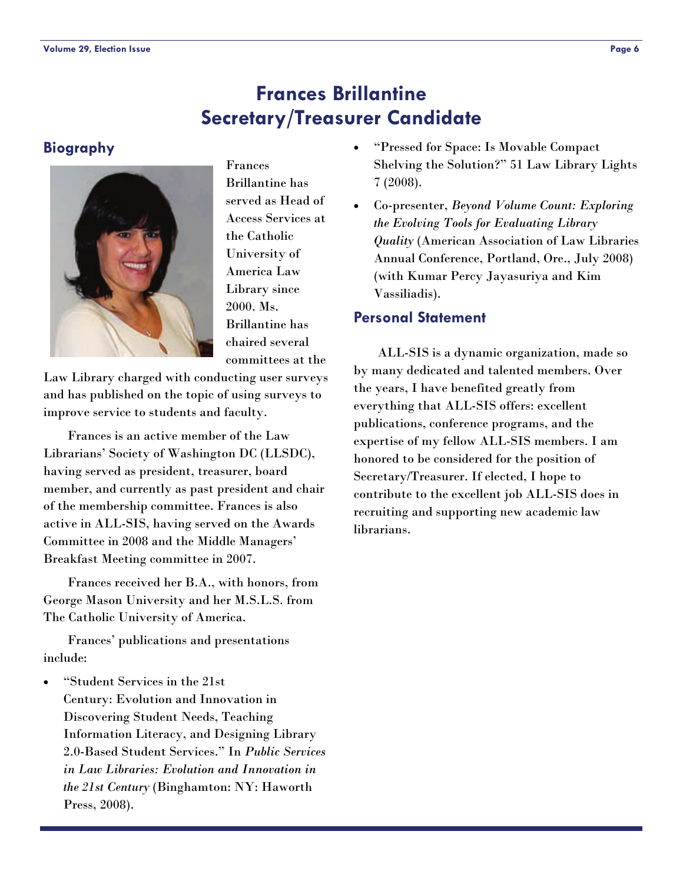## **Frances Brillantine Secretary/Treasurer Candidate**

#### <span id="page-5-0"></span>**Biography**



Frances Brillantine has served as Head of Access Services at the Catholic University of America Law Library since 2000. Ms. Brillantine has chaired several committees at the

Law Library charged with conducting user surveys and has published on the topic of using surveys to improve service to students and faculty.

 Frances is an active member of the Law Librarians' Society of Washington DC (LLSDC), having served as president, treasurer, board member, and currently as past president and chair of the membership committee. Frances is also active in ALL-SIS, having served on the Awards Committee in 2008 and the Middle Managers' Breakfast Meeting committee in 2007.

 Frances received her B.A., with honors, from George Mason University and her M.S.L.S. from The Catholic University of America.

 Frances' publications and presentations include:

 "Student Services in the 21st Century: Evolution and Innovation in Discovering Student Needs, Teaching Information Literacy, and Designing Library 2.0-Based Student Services." In *Public Services in Law Libraries: Evolution and Innovation in the 21st Century* (Binghamton: NY: Haworth Press, 2008).

- "Pressed for Space: Is Movable Compact Shelving the Solution?" 51 Law Library Lights 7 (2008).
- Co-presenter, *Beyond Volume Count: Exploring the Evolving Tools for Evaluating Library Quality* (American Association of Law Libraries Annual Conference, Portland, Ore., July 2008) (with Kumar Percy Jayasuriya and Kim Vassiliadis).

#### **Personal Statement**

 ALL-SIS is a dynamic organization, made so by many dedicated and talented members. Over the years, I have benefited greatly from everything that ALL-SIS offers: excellent publications, conference programs, and the expertise of my fellow ALL-SIS members. I am honored to be considered for the position of Secretary/Treasurer. If elected, I hope to contribute to the excellent job ALL-SIS does in recruiting and supporting new academic law librarians.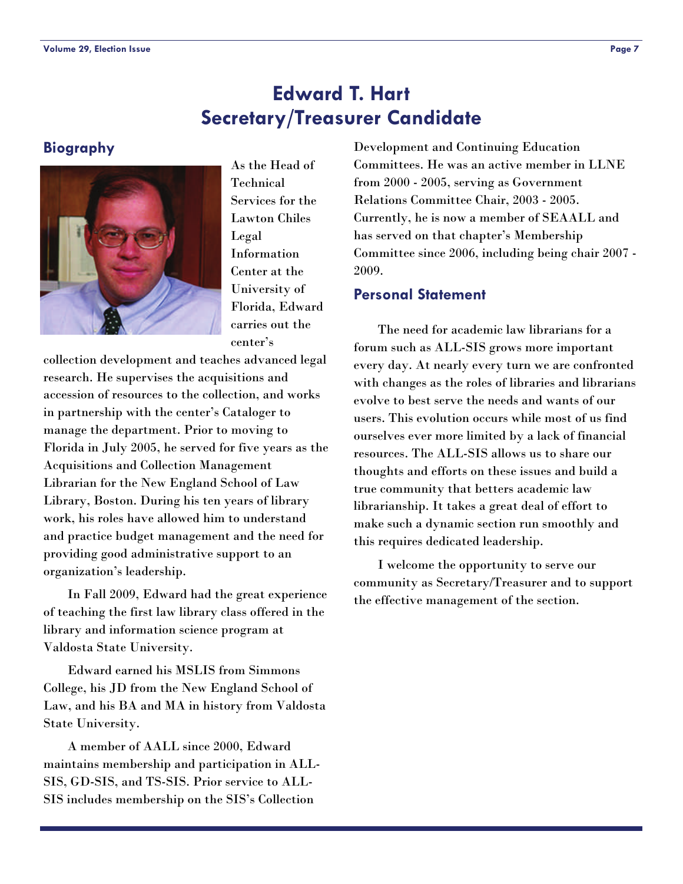## **Edward T. Hart Secretary/Treasurer Candidate**

#### <span id="page-6-0"></span>**Biography**



As the Head of Technical Services for the Lawton Chiles Legal Information Center at the University of Florida, Edward carries out the center's

collection development and teaches advanced legal research. He supervises the acquisitions and accession of resources to the collection, and works in partnership with the center's Cataloger to manage the department. Prior to moving to Florida in July 2005, he served for five years as the Acquisitions and Collection Management Librarian for the New England School of Law Library, Boston. During his ten years of library work, his roles have allowed him to understand and practice budget management and the need for providing good administrative support to an organization's leadership.

 In Fall 2009, Edward had the great experience of teaching the first law library class offered in the library and information science program at Valdosta State University.

 Edward earned his MSLIS from Simmons College, his JD from the New England School of Law, and his BA and MA in history from Valdosta State University.

 A member of AALL since 2000, Edward maintains membership and participation in ALL-SIS, GD-SIS, and TS-SIS. Prior service to ALL-SIS includes membership on the SIS's Collection

Development and Continuing Education Committees. He was an active member in LLNE from 2000 - 2005, serving as Government Relations Committee Chair, 2003 - 2005. Currently, he is now a member of SEAALL and has served on that chapter's Membership Committee since 2006, including being chair 2007 - 2009.

#### **Personal Statement**

 The need for academic law librarians for a forum such as ALL-SIS grows more important every day. At nearly every turn we are confronted with changes as the roles of libraries and librarians evolve to best serve the needs and wants of our users. This evolution occurs while most of us find ourselves ever more limited by a lack of financial resources. The ALL-SIS allows us to share our thoughts and efforts on these issues and build a true community that betters academic law librarianship. It takes a great deal of effort to make such a dynamic section run smoothly and this requires dedicated leadership.

 I welcome the opportunity to serve our community as Secretary/Treasurer and to support the effective management of the section.